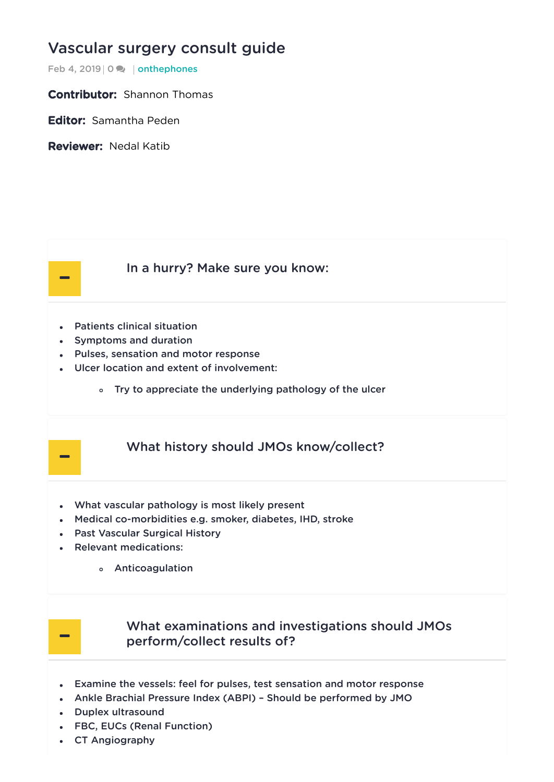# [Vascular](https://onthewards.org/vascular-surgery-consult-guide/) surgery consult guide

Feb 4, 2019 | 0  $\rightarrow$  | [onthephones](https://onthewards.org/category/onthephones/)

**Contributor:** Shannon Thomas

Editor: Samantha Peden

Reviewer: Nedal Katib

-

#### In a [hurry?](#page-0-0) Make sure you know:

- <span id="page-0-0"></span>Patients clinical situation
- Symptoms and duration
- Pulses, sensation and motor response
- Ulcer location and extent of involvement:
	- Try to appreciate the underlying pathology of the ulcer

### What history should JMOs [know/collect?](#page-0-1)

- <span id="page-0-1"></span>What vascular pathology is most likely present
- Medical co-morbidities e.g. smoker, diabetes, IHD, stroke
- Past Vascular Surgical History
- Relevant medications:
	- Anticoagulation



-

### What examinations and investigations should JMOs [perform/collect](#page-0-2) results of?

- <span id="page-0-2"></span>Examine the vessels: feel for pulses, test sensation and motor response
- Ankle Brachial Pressure Index (ABPI) Should be performed by JMO
- Duplex ultrasound
- FBC, EUCs (Renal Function)
- CT Angiography